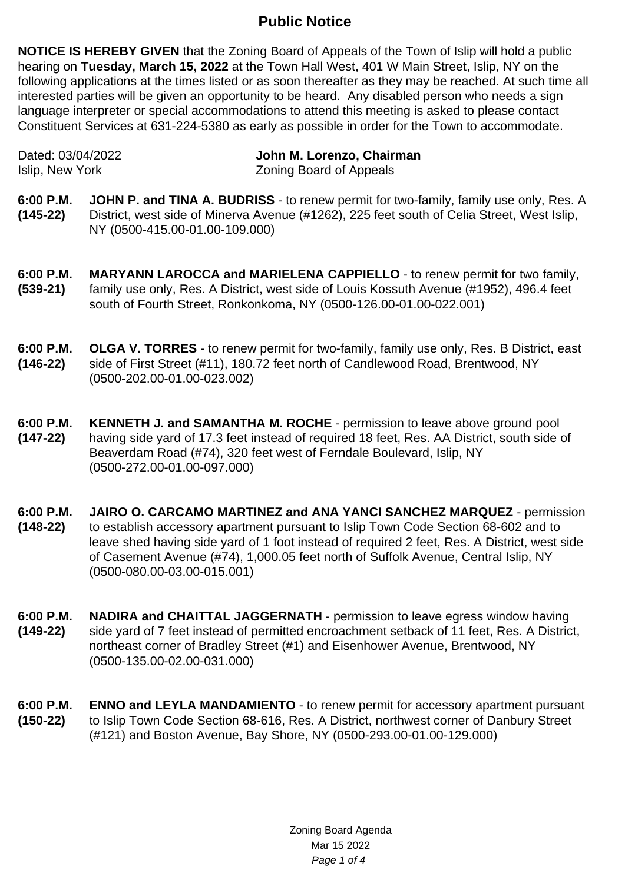## **Public Notice**

**NOTICE IS HEREBY GIVEN** that the Zoning Board of Appeals of the Town of Islip will hold a public hearing on **Tuesday, March 15, 2022** at the Town Hall West, 401 W Main Street, Islip, NY on the following applications at the times listed or as soon thereafter as they may be reached. At such time all interested parties will be given an opportunity to be heard. Any disabled person who needs a sign language interpreter or special accommodations to attend this meeting is asked to please contact Constituent Services at 631-224-5380 as early as possible in order for the Town to accommodate.

Dated: 03/04/2022 **John M. Lorenzo, Chairman** Islip, New York Zoning Board of Appeals

- **6:00 P.M. (145-22) JOHN P. and TINA A. BUDRISS** - to renew permit for two-family, family use only, Res. A District, west side of Minerva Avenue (#1262), 225 feet south of Celia Street, West Islip, NY (0500-415.00-01.00-109.000)
- **6:00 P.M. (539-21) MARYANN LAROCCA and MARIELENA CAPPIELLO** - to renew permit for two family, family use only, Res. A District, west side of Louis Kossuth Avenue (#1952), 496.4 feet south of Fourth Street, Ronkonkoma, NY (0500-126.00-01.00-022.001)
- **6:00 P.M. (146-22) OLGA V. TORRES** - to renew permit for two-family, family use only, Res. B District, east side of First Street (#11), 180.72 feet north of Candlewood Road, Brentwood, NY (0500-202.00-01.00-023.002)
- **6:00 P.M. (147-22) KENNETH J. and SAMANTHA M. ROCHE** - permission to leave above ground pool having side yard of 17.3 feet instead of required 18 feet, Res. AA District, south side of Beaverdam Road (#74), 320 feet west of Ferndale Boulevard, Islip, NY (0500-272.00-01.00-097.000)
- **6:00 P.M. (148-22) JAIRO O. CARCAMO MARTINEZ and ANA YANCI SANCHEZ MARQUEZ** - permission to establish accessory apartment pursuant to Islip Town Code Section 68-602 and to leave shed having side yard of 1 foot instead of required 2 feet, Res. A District, west side of Casement Avenue (#74), 1,000.05 feet north of Suffolk Avenue, Central Islip, NY (0500-080.00-03.00-015.001)
- **6:00 P.M. (149-22) NADIRA and CHAITTAL JAGGERNATH** - permission to leave egress window having side yard of 7 feet instead of permitted encroachment setback of 11 feet, Res. A District, northeast corner of Bradley Street (#1) and Eisenhower Avenue, Brentwood, NY (0500-135.00-02.00-031.000)
- **6:00 P.M. (150-22) ENNO and LEYLA MANDAMIENTO** - to renew permit for accessory apartment pursuant to Islip Town Code Section 68-616, Res. A District, northwest corner of Danbury Street (#121) and Boston Avenue, Bay Shore, NY (0500-293.00-01.00-129.000)

Zoning Board Agenda Mar 15 2022 Page 1 of 4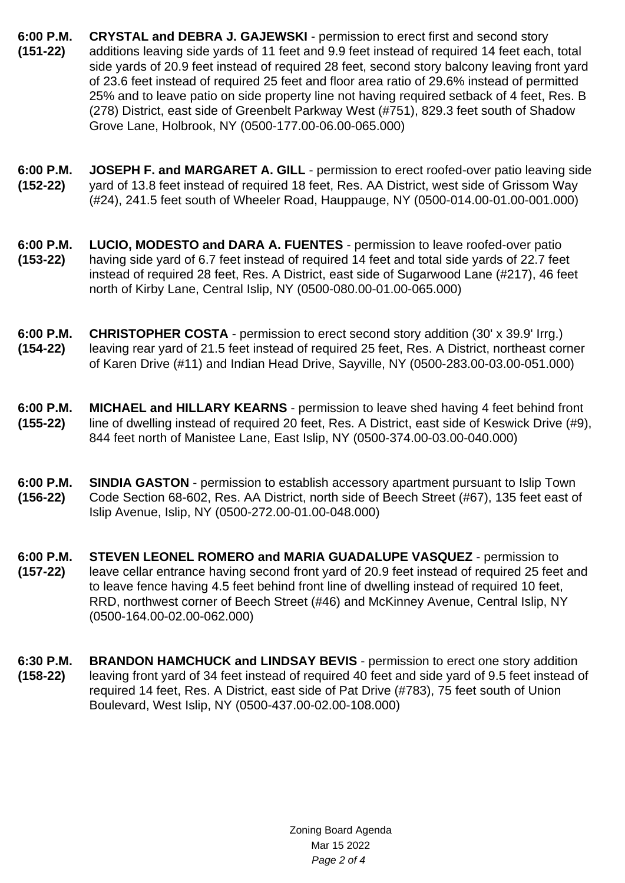- **6:00 P.M. (151-22) CRYSTAL and DEBRA J. GAJEWSKI** - permission to erect first and second story additions leaving side yards of 11 feet and 9.9 feet instead of required 14 feet each, total side yards of 20.9 feet instead of required 28 feet, second story balcony leaving front yard of 23.6 feet instead of required 25 feet and floor area ratio of 29.6% instead of permitted 25% and to leave patio on side property line not having required setback of 4 feet, Res. B (278) District, east side of Greenbelt Parkway West (#751), 829.3 feet south of Shadow Grove Lane, Holbrook, NY (0500-177.00-06.00-065.000)
- **6:00 P.M. (152-22) JOSEPH F. and MARGARET A. GILL** - permission to erect roofed-over patio leaving side yard of 13.8 feet instead of required 18 feet, Res. AA District, west side of Grissom Way (#24), 241.5 feet south of Wheeler Road, Hauppauge, NY (0500-014.00-01.00-001.000)
- **6:00 P.M. (153-22) LUCIO, MODESTO and DARA A. FUENTES** - permission to leave roofed-over patio having side yard of 6.7 feet instead of required 14 feet and total side yards of 22.7 feet instead of required 28 feet, Res. A District, east side of Sugarwood Lane (#217), 46 feet north of Kirby Lane, Central Islip, NY (0500-080.00-01.00-065.000)
- **6:00 P.M. (154-22) CHRISTOPHER COSTA** - permission to erect second story addition (30' x 39.9' Irrg.) leaving rear yard of 21.5 feet instead of required 25 feet, Res. A District, northeast corner of Karen Drive (#11) and Indian Head Drive, Sayville, NY (0500-283.00-03.00-051.000)
- **6:00 P.M. (155-22) MICHAEL and HILLARY KEARNS** - permission to leave shed having 4 feet behind front line of dwelling instead of required 20 feet, Res. A District, east side of Keswick Drive (#9), 844 feet north of Manistee Lane, East Islip, NY (0500-374.00-03.00-040.000)
- **6:00 P.M. (156-22) SINDIA GASTON** - permission to establish accessory apartment pursuant to Islip Town Code Section 68-602, Res. AA District, north side of Beech Street (#67), 135 feet east of Islip Avenue, Islip, NY (0500-272.00-01.00-048.000)
- **6:00 P.M. (157-22) STEVEN LEONEL ROMERO and MARIA GUADALUPE VASQUEZ** - permission to leave cellar entrance having second front yard of 20.9 feet instead of required 25 feet and to leave fence having 4.5 feet behind front line of dwelling instead of required 10 feet, RRD, northwest corner of Beech Street (#46) and McKinney Avenue, Central Islip, NY (0500-164.00-02.00-062.000)
- **6:30 P.M. (158-22) BRANDON HAMCHUCK and LINDSAY BEVIS** - permission to erect one story addition leaving front yard of 34 feet instead of required 40 feet and side yard of 9.5 feet instead of required 14 feet, Res. A District, east side of Pat Drive (#783), 75 feet south of Union Boulevard, West Islip, NY (0500-437.00-02.00-108.000)

Zoning Board Agenda Mar 15 2022 Page 2 of 4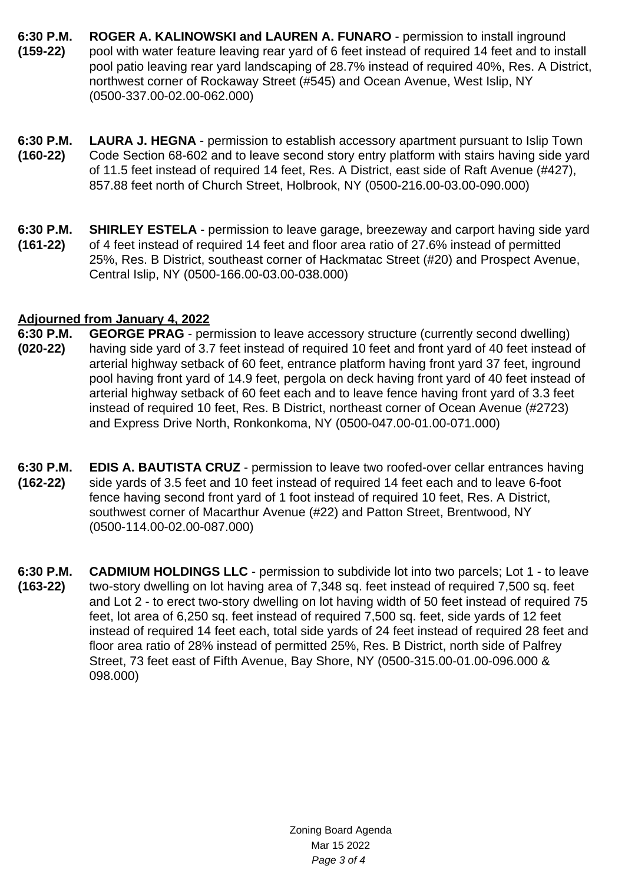- **6:30 P.M. (159-22) ROGER A. KALINOWSKI and LAUREN A. FUNARO** - permission to install inground pool with water feature leaving rear yard of 6 feet instead of required 14 feet and to install pool patio leaving rear yard landscaping of 28.7% instead of required 40%, Res. A District, northwest corner of Rockaway Street (#545) and Ocean Avenue, West Islip, NY (0500-337.00-02.00-062.000)
- **6:30 P.M. (160-22) LAURA J. HEGNA** - permission to establish accessory apartment pursuant to Islip Town Code Section 68-602 and to leave second story entry platform with stairs having side yard of 11.5 feet instead of required 14 feet, Res. A District, east side of Raft Avenue (#427), 857.88 feet north of Church Street, Holbrook, NY (0500-216.00-03.00-090.000)
- **6:30 P.M. (161-22) SHIRLEY ESTELA** - permission to leave garage, breezeway and carport having side yard of 4 feet instead of required 14 feet and floor area ratio of 27.6% instead of permitted 25%, Res. B District, southeast corner of Hackmatac Street (#20) and Prospect Avenue, Central Islip, NY (0500-166.00-03.00-038.000)

## **Adjourned from January 4, 2022**

- **6:30 P.M. (020-22) GEORGE PRAG** - permission to leave accessory structure (currently second dwelling) having side yard of 3.7 feet instead of required 10 feet and front yard of 40 feet instead of arterial highway setback of 60 feet, entrance platform having front yard 37 feet, inground pool having front yard of 14.9 feet, pergola on deck having front yard of 40 feet instead of arterial highway setback of 60 feet each and to leave fence having front yard of 3.3 feet instead of required 10 feet, Res. B District, northeast corner of Ocean Avenue (#2723) and Express Drive North, Ronkonkoma, NY (0500-047.00-01.00-071.000)
- **6:30 P.M. (162-22) EDIS A. BAUTISTA CRUZ** - permission to leave two roofed-over cellar entrances having side yards of 3.5 feet and 10 feet instead of required 14 feet each and to leave 6-foot fence having second front yard of 1 foot instead of required 10 feet, Res. A District, southwest corner of Macarthur Avenue (#22) and Patton Street, Brentwood, NY (0500-114.00-02.00-087.000)
- **6:30 P.M. (163-22) CADMIUM HOLDINGS LLC** - permission to subdivide lot into two parcels; Lot 1 - to leave two-story dwelling on lot having area of 7,348 sq. feet instead of required 7,500 sq. feet and Lot 2 - to erect two-story dwelling on lot having width of 50 feet instead of required 75 feet, lot area of 6,250 sq. feet instead of required 7,500 sq. feet, side yards of 12 feet instead of required 14 feet each, total side yards of 24 feet instead of required 28 feet and floor area ratio of 28% instead of permitted 25%, Res. B District, north side of Palfrey Street, 73 feet east of Fifth Avenue, Bay Shore, NY (0500-315.00-01.00-096.000 & 098.000)

Zoning Board Agenda Mar 15 2022 Page 3 of 4